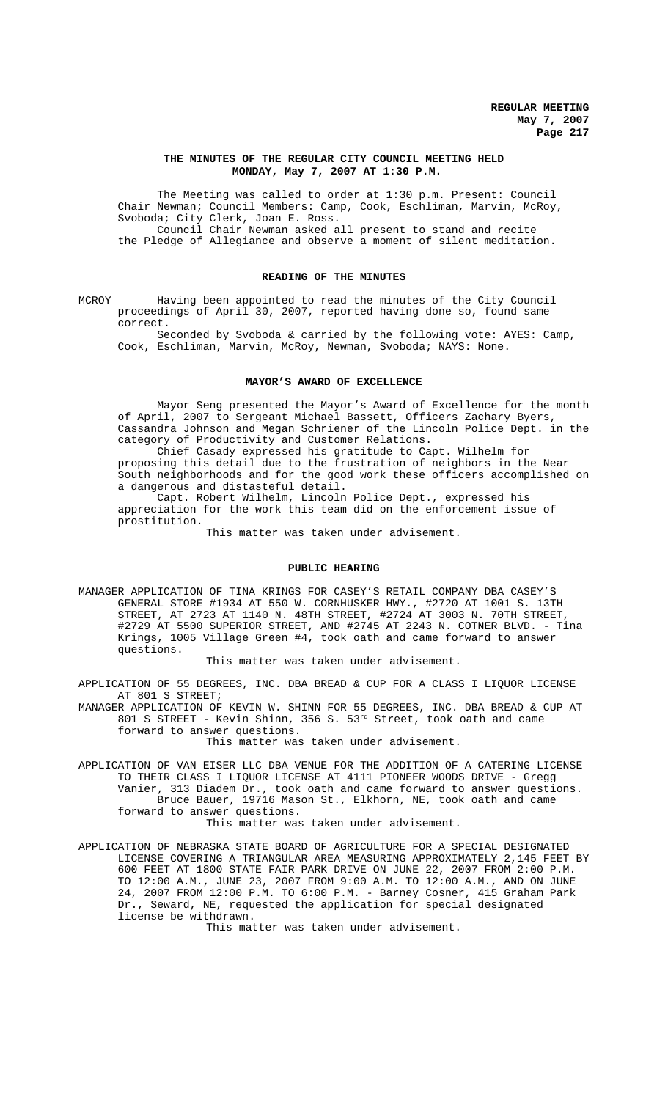# **THE MINUTES OF THE REGULAR CITY COUNCIL MEETING HELD MONDAY, May 7, 2007 AT 1:30 P.M.**

The Meeting was called to order at 1:30 p.m. Present: Council Chair Newman; Council Members: Camp, Cook, Eschliman, Marvin, McRoy, Svoboda; City Clerk, Joan E. Ross. Council Chair Newman asked all present to stand and recite the Pledge of Allegiance and observe a moment of silent meditation.

# **READING OF THE MINUTES**

MCROY Having been appointed to read the minutes of the City Council proceedings of April 30, 2007, reported having done so, found same correct.

Seconded by Svoboda & carried by the following vote: AYES: Camp, Cook, Eschliman, Marvin, McRoy, Newman, Svoboda; NAYS: None.

#### **MAYOR'S AWARD OF EXCELLENCE**

Mayor Seng presented the Mayor's Award of Excellence for the month of April, 2007 to Sergeant Michael Bassett, Officers Zachary Byers, Cassandra Johnson and Megan Schriener of the Lincoln Police Dept. in the category of Productivity and Customer Relations.

Chief Casady expressed his gratitude to Capt. Wilhelm for proposing this detail due to the frustration of neighbors in the Near South neighborhoods and for the good work these officers accomplished on a dangerous and distasteful detail.

Capt. Robert Wilhelm, Lincoln Police Dept., expressed his appreciation for the work this team did on the enforcement issue of prostitution.

This matter was taken under advisement.

### **PUBLIC HEARING**

MANAGER APPLICATION OF TINA KRINGS FOR CASEY'S RETAIL COMPANY DBA CASEY'S GENERAL STORE #1934 AT 550 W. CORNHUSKER HWY., #2720 AT 1001 S. 13TH STREET, AT 2723 AT 1140 N. 48TH STREET, #2724 AT 3003 N. 70TH STREET, #2729 AT 5500 SUPERIOR STREET, AND #2745 AT 2243 N. COTNER BLVD. - Tina Krings, 1005 Village Green #4, took oath and came forward to answer questions.

This matter was taken under advisement.

APPLICATION OF 55 DEGREES, INC. DBA BREAD & CUP FOR A CLASS I LIQUOR LICENSE AT 801 S STREET;

MANAGER APPLICATION OF KEVIN W. SHINN FOR 55 DEGREES, INC. DBA BREAD & CUP AT 801 S STREET - Kevin Shinn, 356 S. 53rd Street, took oath and came forward to answer questions.

This matter was taken under advisement.

APPLICATION OF VAN EISER LLC DBA VENUE FOR THE ADDITION OF A CATERING LICENSE TO THEIR CLASS I LIQUOR LICENSE AT 4111 PIONEER WOODS DRIVE - Gregg Vanier, 313 Diadem Dr., took oath and came forward to answer questions. Bruce Bauer, 19716 Mason St., Elkhorn, NE, took oath and came forward to answer questions.

This matter was taken under advisement.

APPLICATION OF NEBRASKA STATE BOARD OF AGRICULTURE FOR A SPECIAL DESIGNATED LICENSE COVERING A TRIANGULAR AREA MEASURING APPROXIMATELY 2,145 FEET BY 600 FEET AT 1800 STATE FAIR PARK DRIVE ON JUNE 22, 2007 FROM 2:00 P.M. TO 12:00 A.M., JUNE 23, 2007 FROM 9:00 A.M. TO 12:00 A.M., AND ON JUNE 24, 2007 FROM 12:00 P.M. TO 6:00 P.M. - Barney Cosner, 415 Graham Park Dr., Seward, NE, requested the application for special designated license be withdrawn.

This matter was taken under advisement.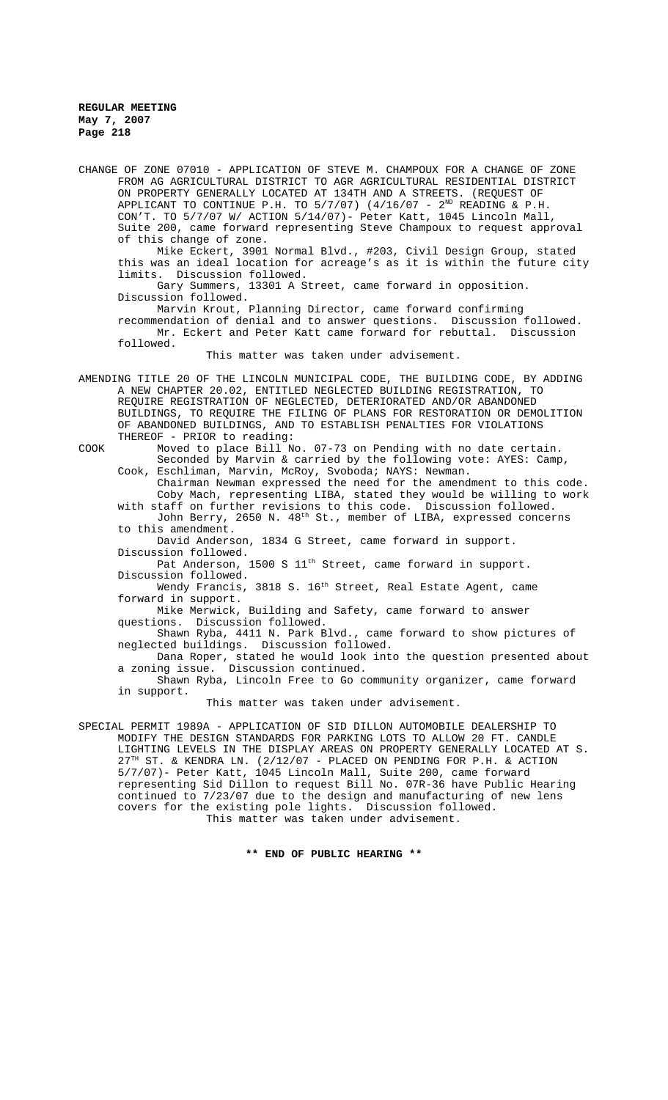CHANGE OF ZONE 07010 - APPLICATION OF STEVE M. CHAMPOUX FOR A CHANGE OF ZONE FROM AG AGRICULTURAL DISTRICT TO AGR AGRICULTURAL RESIDENTIAL DISTRICT ON PROPERTY GENERALLY LOCATED AT 134TH AND A STREETS. (REQUEST OF APPLICANT TO CONTINUE P.H. TO  $5/7/07$ ) (4/16/07 -  $2^{ND}$  READING & P.H. CON'T. TO 5/7/07 W/ ACTION 5/14/07)- Peter Katt, 1045 Lincoln Mall, Suite 200, came forward representing Steve Champoux to request approval of this change of zone. Mike Eckert, 3901 Normal Blvd., #203, Civil Design Group, stated this was an ideal location for acreage's as it is within the future city limits. Discussion followed. Gary Summers, 13301 A Street, came forward in opposition. Discussion followed. Marvin Krout, Planning Director, came forward confirming recommendation of denial and to answer questions. Discussion followed. Mr. Eckert and Peter Katt came forward for rebuttal. Discussion followed. This matter was taken under advisement. AMENDING TITLE 20 OF THE LINCOLN MUNICIPAL CODE, THE BUILDING CODE, BY ADDING A NEW CHAPTER 20.02, ENTITLED NEGLECTED BUILDING REGISTRATION, TO REQUIRE REGISTRATION OF NEGLECTED, DETERIORATED AND/OR ABANDONED BUILDINGS, TO REQUIRE THE FILING OF PLANS FOR RESTORATION OR DEMOLITION OF ABANDONED BUILDINGS, AND TO ESTABLISH PENALTIES FOR VIOLATIONS THEREOF - PRIOR to reading: COOK Moved to place Bill No. 07-73 on Pending with no date certain. Seconded by Marvin & carried by the following vote: AYES: Camp, Cook, Eschliman, Marvin, McRoy, Svoboda; NAYS: Newman. Chairman Newman expressed the need for the amendment to this code. Coby Mach, representing LIBA, stated they would be willing to work with staff on further revisions to this code. Discussion followed. John Berry, 2650 N. 48th St., member of LIBA, expressed concerns to this amendment. David Anderson, 1834 G Street, came forward in support. Discussion followed. Pat Anderson, 1500 S 11<sup>th</sup> Street, came forward in support. Discussion followed. Wendy Francis, 3818 S. 16<sup>th</sup> Street, Real Estate Agent, came forward in support. Mike Merwick, Building and Safety, came forward to answer questions. Discussion followed. Shawn Ryba, 4411 N. Park Blvd., came forward to show pictures of neglected buildings. Discussion followed. Dana Roper, stated he would look into the question presented about a zoning issue. Discussion continued. Shawn Ryba, Lincoln Free to Go community organizer, came forward in support. This matter was taken under advisement. SPECIAL PERMIT 1989A - APPLICATION OF SID DILLON AUTOMOBILE DEALERSHIP TO MODIFY THE DESIGN STANDARDS FOR PARKING LOTS TO ALLOW 20 FT. CANDLE LIGHTING LEVELS IN THE DISPLAY AREAS ON PROPERTY GENERALLY LOCATED AT S.  $27<sup>TH</sup>$  ST. & KENDRA LN. (2/12/07 - PLACED ON PENDING FOR P.H. & ACTION 5/7/07)- Peter Katt, 1045 Lincoln Mall, Suite 200, came forward representing Sid Dillon to request Bill No. 07R-36 have Public Hearing continued to 7/23/07 due to the design and manufacturing of new lens

**\*\* END OF PUBLIC HEARING \*\***

This matter was taken under advisement.

covers for the existing pole lights. Discussion followed.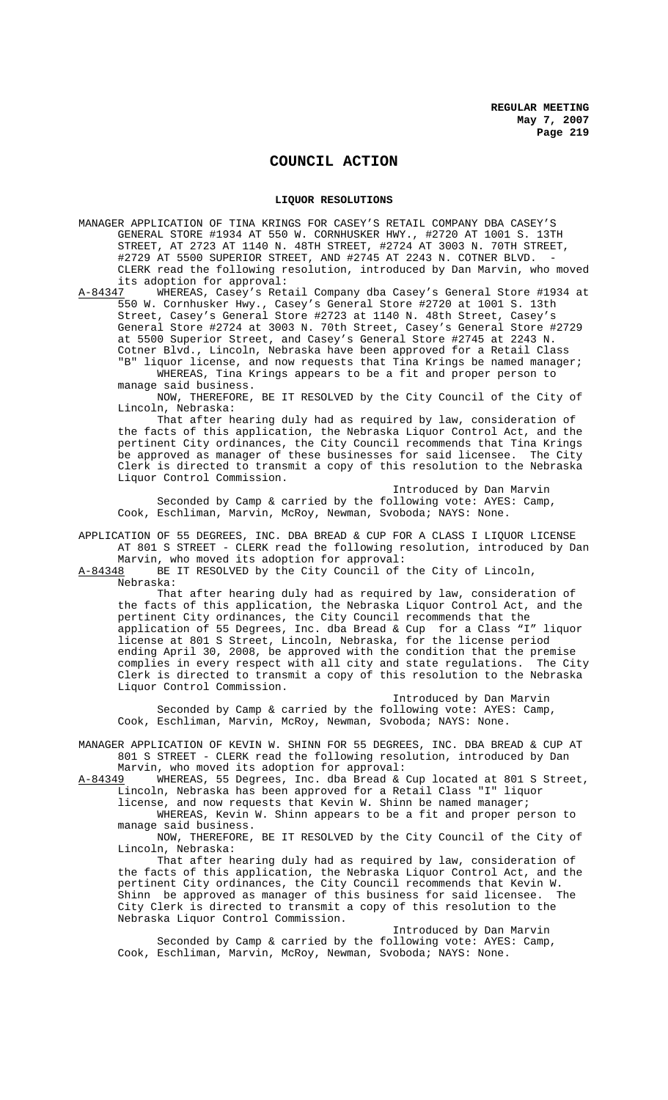# **COUNCIL ACTION**

### **LIQUOR RESOLUTIONS**

MANAGER APPLICATION OF TINA KRINGS FOR CASEY'S RETAIL COMPANY DBA CASEY'S GENERAL STORE #1934 AT 550 W. CORNHUSKER HWY., #2720 AT 1001 S. 13TH STREET, AT 2723 AT 1140 N. 48TH STREET, #2724 AT 3003 N. 70TH STREET, #2729 AT 5500 SUPERIOR STREET, AND #2745 AT 2243 N. COTNER BLVD. - CLERK read the following resolution, introduced by Dan Marvin, who moved

its adoption for approval:<br>A-84347 WHEREAS, Casev's Ret WHEREAS, Casey's Retail Company dba Casey's General Store #1934 at 550 W. Cornhusker Hwy., Casey's General Store #2720 at 1001 S. 13th Street, Casey's General Store #2723 at 1140 N. 48th Street, Casey's General Store #2724 at 3003 N. 70th Street, Casey's General Store #2729 at 5500 Superior Street, and Casey's General Store #2745 at 2243 N. Cotner Blvd., Lincoln, Nebraska have been approved for a Retail Class "B" liquor license, and now requests that Tina Krings be named manager;

WHEREAS, Tina Krings appears to be a fit and proper person to manage said business.

NOW, THEREFORE, BE IT RESOLVED by the City Council of the City of Lincoln, Nebraska:

That after hearing duly had as required by law, consideration of the facts of this application, the Nebraska Liquor Control Act, and the pertinent City ordinances, the City Council recommends that Tina Krings be approved as manager of these businesses for said licensee. Clerk is directed to transmit a copy of this resolution to the Nebraska Liquor Control Commission.

Introduced by Dan Marvin Seconded by Camp & carried by the following vote: AYES: Camp, Cook, Eschliman, Marvin, McRoy, Newman, Svoboda; NAYS: None.

APPLICATION OF 55 DEGREES, INC. DBA BREAD & CUP FOR A CLASS I LIQUOR LICENSE AT 801 S STREET - CLERK read the following resolution, introduced by Dan Marvin, who moved its adoption for approval:

A-84348 BE IT RESOLVED by the City Council of the City of Lincoln, Nebraska:

That after hearing duly had as required by law, consideration of the facts of this application, the Nebraska Liquor Control Act, and the pertinent City ordinances, the City Council recommends that the application of 55 Degrees, Inc. dba Bread & Cup for a Class "I" liquor license at 801 S Street, Lincoln, Nebraska, for the license period ending April 30, 2008, be approved with the condition that the premise<br>complies in every respect with all city and state regulations. The City complies in every respect with all city and state regulations. Clerk is directed to transmit a copy of this resolution to the Nebraska Liquor Control Commission.

Introduced by Dan Marvin Seconded by Camp & carried by the following vote: AYES: Camp, Cook, Eschliman, Marvin, McRoy, Newman, Svoboda; NAYS: None.

MANAGER APPLICATION OF KEVIN W. SHINN FOR 55 DEGREES, INC. DBA BREAD & CUP AT 801 S STREET - CLERK read the following resolution, introduced by Dan Marvin, who moved its adoption for approval:

A-84349 WHEREAS, 55 Degrees, Inc. dba Bread & Cup located at 801 S Street, Lincoln, Nebraska has been approved for a Retail Class "I" liquor

license, and now requests that Kevin W. Shinn be named manager;

WHEREAS, Kevin W. Shinn appears to be a fit and proper person to manage said business.

NOW, THEREFORE, BE IT RESOLVED by the City Council of the City of Lincoln, Nebraska:

That after hearing duly had as required by law, consideration of the facts of this application, the Nebraska Liquor Control Act, and the pertinent City ordinances, the City Council recommends that Kevin W.<br>Shinn be approved as manager of this business for said licensee. The Shinn be approved as manager of this business for said licensee. City Clerk is directed to transmit a copy of this resolution to the Nebraska Liquor Control Commission.

Introduced by Dan Marvin Seconded by Camp & carried by the following vote: AYES: Camp, Cook, Eschliman, Marvin, McRoy, Newman, Svoboda; NAYS: None.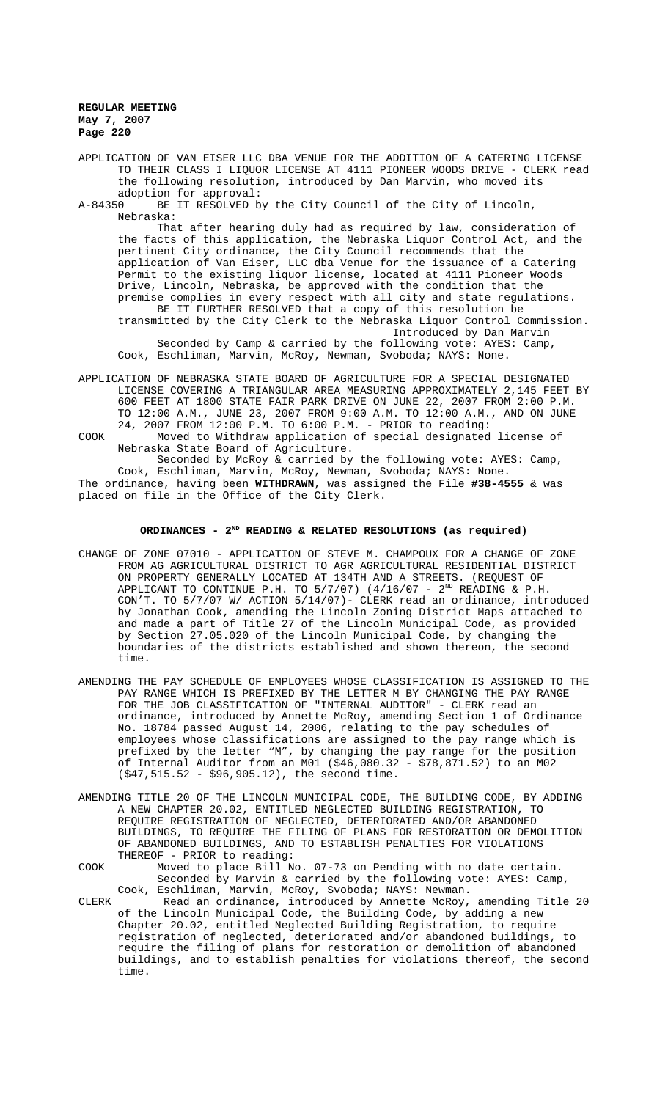APPLICATION OF VAN EISER LLC DBA VENUE FOR THE ADDITION OF A CATERING LICENSE TO THEIR CLASS I LIQUOR LICENSE AT 4111 PIONEER WOODS DRIVE - CLERK read the following resolution, introduced by Dan Marvin, who moved its

adoption for approval:<br>A-84350 BE IT RESOLVED b BE IT RESOLVED by the City Council of the City of Lincoln, Nebraska:

That after hearing duly had as required by law, consideration of the facts of this application, the Nebraska Liquor Control Act, and the pertinent City ordinance, the City Council recommends that the application of Van Eiser, LLC dba Venue for the issuance of a Catering Permit to the existing liquor license, located at 4111 Pioneer Woods Drive, Lincoln, Nebraska, be approved with the condition that the premise complies in every respect with all city and state regulations. BE IT FURTHER RESOLVED that a copy of this resolution be transmitted by the City Clerk to the Nebraska Liquor Control Commission. Introduced by Dan Marvin Seconded by Camp & carried by the following vote: AYES: Camp,

Cook, Eschliman, Marvin, McRoy, Newman, Svoboda; NAYS: None.

- APPLICATION OF NEBRASKA STATE BOARD OF AGRICULTURE FOR A SPECIAL DESIGNATED LICENSE COVERING A TRIANGULAR AREA MEASURING APPROXIMATELY 2,145 FEET BY 600 FEET AT 1800 STATE FAIR PARK DRIVE ON JUNE 22, 2007 FROM 2:00 P.M. TO 12:00 A.M., JUNE 23, 2007 FROM 9:00 A.M. TO 12:00 A.M., AND ON JUNE 24, 2007 FROM 12:00 P.M. TO 6:00 P.M. - PRIOR to reading: COOK Moved to Withdraw application of special designated license of
- Nebraska State Board of Agriculture.

Seconded by McRoy & carried by the following vote: AYES: Camp, Cook, Eschliman, Marvin, McRoy, Newman, Svoboda; NAYS: None. The ordinance, having been **WITHDRAWN**, was assigned the File **#38-4555** & was placed on file in the Office of the City Clerk.

# ORDINANCES - 2<sup>ND</sup> READING & RELATED RESOLUTIONS (as required)

- CHANGE OF ZONE 07010 APPLICATION OF STEVE M. CHAMPOUX FOR A CHANGE OF ZONE FROM AG AGRICULTURAL DISTRICT TO AGR AGRICULTURAL RESIDENTIAL DISTRICT ON PROPERTY GENERALLY LOCATED AT 134TH AND A STREETS. (REQUEST OF APPLICANT TO CONTINUE P.H. TO  $5/7/07$ ) (4/16/07 -  $2^{ND}$  READING & P.H. CON'T. TO 5/7/07 W/ ACTION 5/14/07)- CLERK read an ordinance, introduced by Jonathan Cook, amending the Lincoln Zoning District Maps attached to and made a part of Title 27 of the Lincoln Municipal Code, as provided by Section 27.05.020 of the Lincoln Municipal Code, by changing the boundaries of the districts established and shown thereon, the second time.
- AMENDING THE PAY SCHEDULE OF EMPLOYEES WHOSE CLASSIFICATION IS ASSIGNED TO THE PAY RANGE WHICH IS PREFIXED BY THE LETTER M BY CHANGING THE PAY RANGE FOR THE JOB CLASSIFICATION OF "INTERNAL AUDITOR" - CLERK read an ordinance, introduced by Annette McRoy, amending Section 1 of Ordinance No. 18784 passed August 14, 2006, relating to the pay schedules of employees whose classifications are assigned to the pay range which is prefixed by the letter "M", by changing the pay range for the position of Internal Auditor from an M01 (\$46,080.32 - \$78,871.52) to an M02 (\$47,515.52 - \$96,905.12), the second time.
- AMENDING TITLE 20 OF THE LINCOLN MUNICIPAL CODE, THE BUILDING CODE, BY ADDING A NEW CHAPTER 20.02, ENTITLED NEGLECTED BUILDING REGISTRATION, TO REQUIRE REGISTRATION OF NEGLECTED, DETERIORATED AND/OR ABANDONED BUILDINGS, TO REQUIRE THE FILING OF PLANS FOR RESTORATION OR DEMOLITION OF ABANDONED BUILDINGS, AND TO ESTABLISH PENALTIES FOR VIOLATIONS THEREOF - PRIOR to reading:
- COOK Moved to place Bill No. 07-73 on Pending with no date certain. Seconded by Marvin & carried by the following vote: AYES: Camp, Cook, Eschliman, Marvin, McRoy, Svoboda; NAYS: Newman.
- CLERK Read an ordinance, introduced by Annette McRoy, amending Title 20 of the Lincoln Municipal Code, the Building Code, by adding a new Chapter 20.02, entitled Neglected Building Registration, to require registration of neglected, deteriorated and/or abandoned buildings, to require the filing of plans for restoration or demolition of abandoned buildings, and to establish penalties for violations thereof, the second time.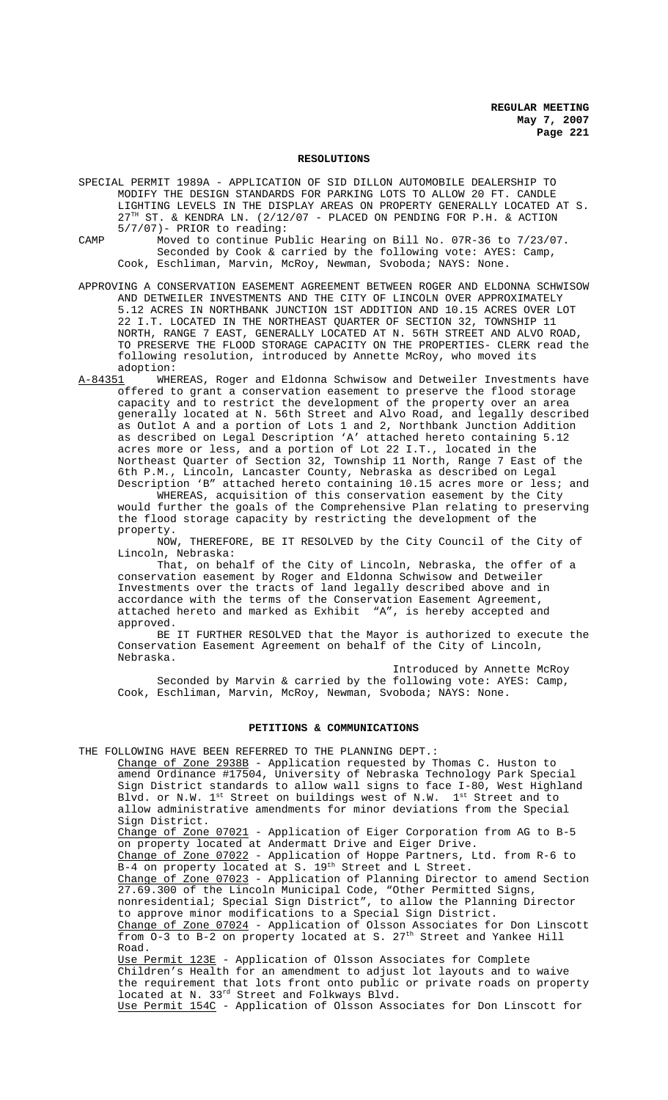#### **RESOLUTIONS**

SPECIAL PERMIT 1989A - APPLICATION OF SID DILLON AUTOMOBILE DEALERSHIP TO MODIFY THE DESIGN STANDARDS FOR PARKING LOTS TO ALLOW 20 FT. CANDLE LIGHTING LEVELS IN THE DISPLAY AREAS ON PROPERTY GENERALLY LOCATED AT S.<br>27<sup>TH</sup> ST. & KENDRA LN. (2/12/07 - PLACED ON PENDING FOR D H & ACTION ST. & KENDRA LN. (2/12/07 - PLACED ON PENDING FOR P.H. & ACTION 5/7/07)- PRIOR to reading:

CAMP Moved to continue Public Hearing on Bill No. 07R-36 to 7/23/07. Seconded by Cook & carried by the following vote: AYES: Camp, Cook, Eschliman, Marvin, McRoy, Newman, Svoboda; NAYS: None.

APPROVING A CONSERVATION EASEMENT AGREEMENT BETWEEN ROGER AND ELDONNA SCHWISOW AND DETWEILER INVESTMENTS AND THE CITY OF LINCOLN OVER APPROXIMATELY 5.12 ACRES IN NORTHBANK JUNCTION 1ST ADDITION AND 10.15 ACRES OVER LOT 22 I.T. LOCATED IN THE NORTHEAST QUARTER OF SECTION 32, TOWNSHIP 11 NORTH, RANGE 7 EAST, GENERALLY LOCATED AT N. 56TH STREET AND ALVO ROAD, TO PRESERVE THE FLOOD STORAGE CAPACITY ON THE PROPERTIES- CLERK read the following resolution, introduced by Annette McRoy, who moved its adoption:

A-84351 WHEREAS, Roger and Eldonna Schwisow and Detweiler Investments have offered to grant a conservation easement to preserve the flood storage capacity and to restrict the development of the property over an area generally located at N. 56th Street and Alvo Road, and legally described as Outlot A and a portion of Lots 1 and 2, Northbank Junction Addition as described on Legal Description 'A' attached hereto containing 5.12 acres more or less, and a portion of Lot 22 I.T., located in the Northeast Quarter of Section 32, Township 11 North, Range 7 East of the 6th P.M., Lincoln, Lancaster County, Nebraska as described on Legal Description 'B" attached hereto containing 10.15 acres more or less; and

WHEREAS, acquisition of this conservation easement by the City would further the goals of the Comprehensive Plan relating to preserving the flood storage capacity by restricting the development of the property.<br>NOW,

THEREFORE, BE IT RESOLVED by the City Council of the City of Lincoln, Nebraska:

That, on behalf of the City of Lincoln, Nebraska, the offer of a conservation easement by Roger and Eldonna Schwisow and Detweiler Investments over the tracts of land legally described above and in accordance with the terms of the Conservation Easement Agreement, attached hereto and marked as Exhibit "A", is hereby accepted and approved.

BE IT FURTHER RESOLVED that the Mayor is authorized to execute the Conservation Easement Agreement on behalf of the City of Lincoln, Nebraska.

Introduced by Annette McRoy Seconded by Marvin & carried by the following vote: AYES: Camp, Cook, Eschliman, Marvin, McRoy, Newman, Svoboda; NAYS: None.

#### **PETITIONS & COMMUNICATIONS**

THE FOLLOWING HAVE BEEN REFERRED TO THE PLANNING DEPT.: Change of Zone 2938B - Application requested by Thomas C. Huston to amend Ordinance #17504, University of Nebraska Technology Park Special Sign District standards to allow wall signs to face I-80, West Highland Blvd. or N.W. 1<sup>st</sup> Street on buildings west of N.W. 1<sup>st</sup> Street and to allow administrative amendments for minor deviations from the Special Sign District. Change of Zone 07021 - Application of Eiger Corporation from AG to B-5 on property located at Andermatt Drive and Eiger Drive. Change of Zone 07022 - Application of Hoppe Partners, Ltd. from R-6 to B-4 on property located at S. 19<sup>th</sup> Street and L Street. Change of Zone 07023 - Application of Planning Director to amend Section 27.69.300 of the Lincoln Municipal Code, "Other Permitted Signs, nonresidential; Special Sign District", to allow the Planning Director to approve minor modifications to a Special Sign District. Change of Zone 07024 - Application of Olsson Associates for Don Linscott from 0-3 to B-2 on property located at S. 27<sup>th</sup> Street and Yankee Hill Road. Use Permit 123E - Application of Olsson Associates for Complete Children's Health for an amendment to adjust lot layouts and to waive the requirement that lots front onto public or private roads on property located at N. 33rd Street and Folkways Blvd. Use Permit 154C - Application of Olsson Associates for Don Linscott for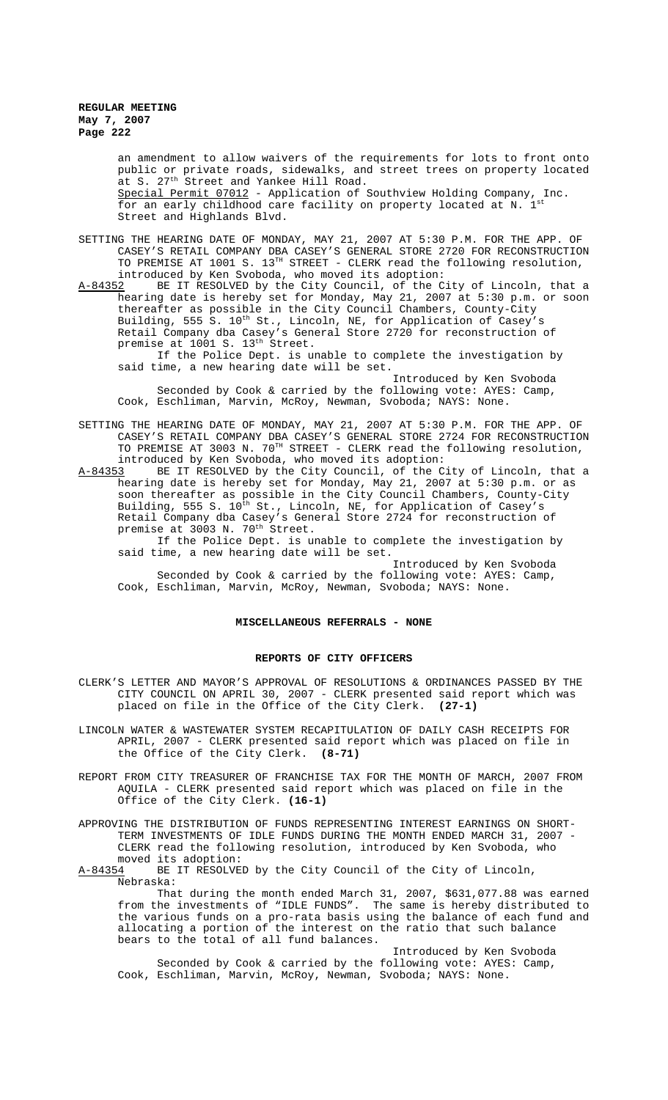an amendment to allow waivers of the requirements for lots to front onto public or private roads, sidewalks, and street trees on property located at S. 27<sup>th</sup> Street and Yankee Hill Road. Special Permit 07012 - Application of Southview Holding Company, Inc. for an early childhood care facility on property located at N.  $1^s$ Street and Highlands Blvd.

- SETTING THE HEARING DATE OF MONDAY, MAY 21, 2007 AT 5:30 P.M. FOR THE APP. OF CASEY'S RETAIL COMPANY DBA CASEY'S GENERAL STORE 2720 FOR RECONSTRUCTION TO PREMISE AT 1001 S. 13TH STREET - CLERK read the following resolution,
- introduced by Ken Svoboda, who moved its adoption:<br>A-84352 BE IT RESOLVED by the City Council, of the C A-84352 BE IT RESOLVED by the City Council, of the City of Lincoln, that a hearing date is hereby set for Monday, May 21, 2007 at 5:30 p.m. or soon thereafter as possible in the City Council Chambers, County-City Building, 555 S. 10<sup>th</sup> St., Lincoln, NE, for Application of Casey's Retail Company dba Casey's General Store 2720 for reconstruction of premise at 1001 S. 13<sup>th</sup> Street.

If the Police Dept. is unable to complete the investigation by said time, a new hearing date will be set.

- Introduced by Ken Svoboda Seconded by Cook & carried by the following vote: AYES: Camp, Cook, Eschliman, Marvin, McRoy, Newman, Svoboda; NAYS: None.
- SETTING THE HEARING DATE OF MONDAY, MAY 21, 2007 AT 5:30 P.M. FOR THE APP. OF CASEY'S RETAIL COMPANY DBA CASEY'S GENERAL STORE 2724 FOR RECONSTRUCTION TO PREMISE AT 3003 N. 70TH STREET - CLERK read the following resolution, introduced by Ken Svoboda, who moved its adoption:
- A-84353 BE IT RESOLVED by the City Council, of the City of Lincoln, that a hearing date is hereby set for Monday, May 21, 2007 at 5:30 p.m. or as soon thereafter as possible in the City Council Chambers, County-City Building, 555 S. 10<sup>th</sup> St., Lincoln, NE, for Application of Casey's Retail Company dba Casey's General Store 2724 for reconstruction of premise at 3003 N. 70<sup>th</sup> Street.

If the Police Dept. is unable to complete the investigation by said time, a new hearing date will be set.

Introduced by Ken Svoboda Seconded by Cook & carried by the following vote: AYES: Camp, Cook, Eschliman, Marvin, McRoy, Newman, Svoboda; NAYS: None.

# **MISCELLANEOUS REFERRALS - NONE**

#### **REPORTS OF CITY OFFICERS**

- CLERK'S LETTER AND MAYOR'S APPROVAL OF RESOLUTIONS & ORDINANCES PASSED BY THE CITY COUNCIL ON APRIL 30, 2007 - CLERK presented said report which was placed on file in the Office of the City Clerk. **(27-1)**
- LINCOLN WATER & WASTEWATER SYSTEM RECAPITULATION OF DAILY CASH RECEIPTS FOR APRIL, 2007 - CLERK presented said report which was placed on file in the Office of the City Clerk. **(8-71)**
- REPORT FROM CITY TREASURER OF FRANCHISE TAX FOR THE MONTH OF MARCH, 2007 FROM AQUILA - CLERK presented said report which was placed on file in the Office of the City Clerk. **(16-1)**
- APPROVING THE DISTRIBUTION OF FUNDS REPRESENTING INTEREST EARNINGS ON SHORT-TERM INVESTMENTS OF IDLE FUNDS DURING THE MONTH ENDED MARCH 31, 2007 - CLERK read the following resolution, introduced by Ken Svoboda, who moved its adoption:

A-84354 BE IT RESOLVED by the City Council of the City of Lincoln, Nebraska:

That during the month ended March 31, 2007, \$631,077.88 was earned from the investments of "IDLE FUNDS". The same is hereby distributed to the various funds on a pro-rata basis using the balance of each fund and allocating a portion of the interest on the ratio that such balance bears to the total of all fund balances.

Introduced by Ken Svoboda Seconded by Cook & carried by the following vote: AYES: Camp, Cook, Eschliman, Marvin, McRoy, Newman, Svoboda; NAYS: None.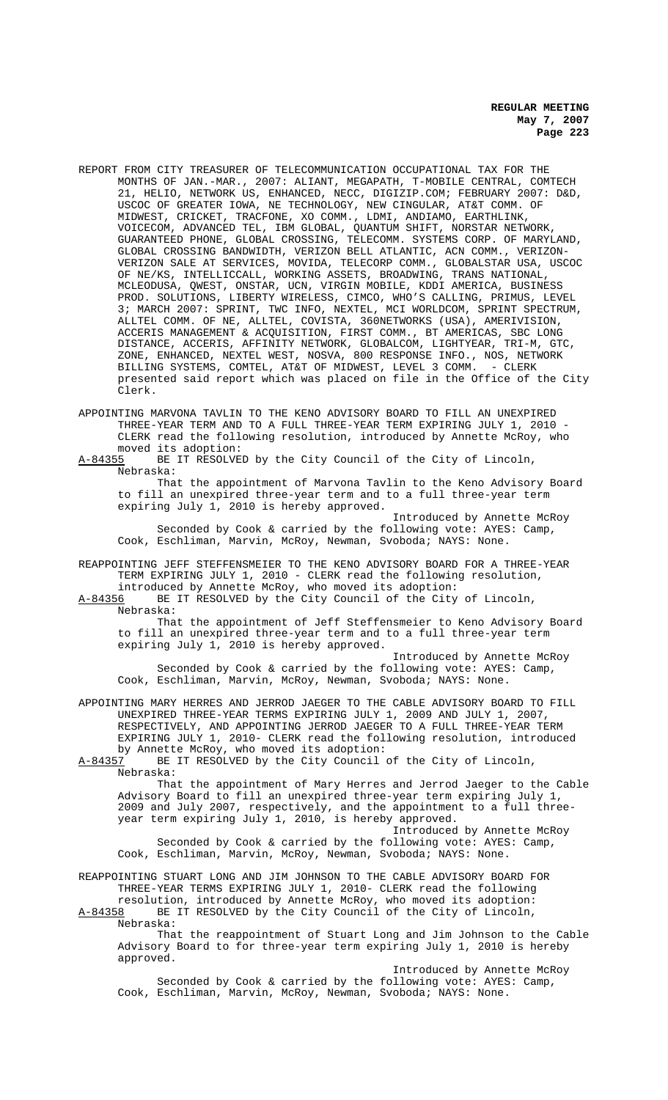- REPORT FROM CITY TREASURER OF TELECOMMUNICATION OCCUPATIONAL TAX FOR THE MONTHS OF JAN.-MAR., 2007: ALIANT, MEGAPATH, T-MOBILE CENTRAL, COMTECH 21, HELIO, NETWORK US, ENHANCED, NECC, DIGIZIP.COM; FEBRUARY 2007: D&D, USCOC OF GREATER IOWA, NE TECHNOLOGY, NEW CINGULAR, AT&T COMM. OF MIDWEST, CRICKET, TRACFONE, XO COMM., LDMI, ANDIAMO, EARTHLINK, VOICECOM, ADVANCED TEL, IBM GLOBAL, QUANTUM SHIFT, NORSTAR NETWORK, GUARANTEED PHONE, GLOBAL CROSSING, TELECOMM. SYSTEMS CORP. OF MARYLAND, GLOBAL CROSSING BANDWIDTH, VERIZON BELL ATLANTIC, ACN COMM., VERIZON-VERIZON SALE AT SERVICES, MOVIDA, TELECORP COMM., GLOBALSTAR USA, USCOC OF NE/KS, INTELLICCALL, WORKING ASSETS, BROADWING, TRANS NATIONAL, MCLEODUSA, QWEST, ONSTAR, UCN, VIRGIN MOBILE, KDDI AMERICA, BUSINESS PROD. SOLUTIONS, LIBERTY WIRELESS, CIMCO, WHO'S CALLING, PRIMUS, LEVEL 3; MARCH 2007: SPRINT, TWC INFO, NEXTEL, MCI WORLDCOM, SPRINT SPECTRUM, ALLTEL COMM. OF NE, ALLTEL, COVISTA, 360NETWORKS (USA), AMERIVISION, ACCERIS MANAGEMENT & ACQUISITION, FIRST COMM., BT AMERICAS, SBC LONG DISTANCE, ACCERIS, AFFINITY NETWORK, GLOBALCOM, LIGHTYEAR, TRI-M, GTC, ZONE, ENHANCED, NEXTEL WEST, NOSVA, 800 RESPONSE INFO., NOS, NETWORK BILLING SYSTEMS, COMTEL, AT&T OF MIDWEST, LEVEL 3 COMM. - CLERK presented said report which was placed on file in the Office of the City Clerk.
- APPOINTING MARVONA TAVLIN TO THE KENO ADVISORY BOARD TO FILL AN UNEXPIRED THREE-YEAR TERM AND TO A FULL THREE-YEAR TERM EXPIRING JULY 1, 2010 CLERK read the following resolution, introduced by Annette McRoy, who

moved its adoption:<br><u>A-84355</u> BE IT RESOLVE BE IT RESOLVED by the City Council of the City of Lincoln, Nebraska:

That the appointment of Marvona Tavlin to the Keno Advisory Board to fill an unexpired three-year term and to a full three-year term expiring July 1, 2010 is hereby approved.

Introduced by Annette McRoy Seconded by Cook & carried by the following vote: AYES: Camp, Cook, Eschliman, Marvin, McRoy, Newman, Svoboda; NAYS: None.

REAPPOINTING JEFF STEFFENSMEIER TO THE KENO ADVISORY BOARD FOR A THREE-YEAR TERM EXPIRING JULY 1, 2010 - CLERK read the following resolution, introduced by Annette McRoy, who moved its adoption:

A-84356 BE IT RESOLVED by the City Council of the City of Lincoln, Nebraska:

That the appointment of Jeff Steffensmeier to Keno Advisory Board to fill an unexpired three-year term and to a full three-year term expiring July 1, 2010 is hereby approved.

Introduced by Annette McRoy Seconded by Cook & carried by the following vote: AYES: Camp, Cook, Eschliman, Marvin, McRoy, Newman, Svoboda; NAYS: None.

APPOINTING MARY HERRES AND JERROD JAEGER TO THE CABLE ADVISORY BOARD TO FILL UNEXPIRED THREE-YEAR TERMS EXPIRING JULY 1, 2009 AND JULY 1, 2007, RESPECTIVELY, AND APPOINTING JERROD JAEGER TO A FULL THREE-YEAR TERM EXPIRING JULY 1, 2010- CLERK read the following resolution, introduced by Annette McRoy, who moved its adoption:<br>A-84357 BE IT RESOLVED by the City Council

BE IT RESOLVED by the City Council of the City of Lincoln, Nebraska:

That the appointment of Mary Herres and Jerrod Jaeger to the Cable Advisory Board to fill an unexpired three-year term expiring July 1, 2009 and July 2007, respectively, and the appointment to a full threeyear term expiring July 1, 2010, is hereby approved.

Introduced by Annette McRoy Seconded by Cook & carried by the following vote: AYES: Camp, Cook, Eschliman, Marvin, McRoy, Newman, Svoboda; NAYS: None.

REAPPOINTING STUART LONG AND JIM JOHNSON TO THE CABLE ADVISORY BOARD FOR THREE-YEAR TERMS EXPIRING JULY 1, 2010- CLERK read the following resolution, introduced by Annette McRoy, who moved its adoption:<br>A-84358 BE IT RESOLVED by the City Council of the City of Lincoln,

BE IT RESOLVED by the City Council of the City of Lincoln, Nebraska:

That the reappointment of Stuart Long and Jim Johnson to the Cable Advisory Board to for three-year term expiring July 1, 2010 is hereby approved.

Introduced by Annette McRoy Seconded by Cook & carried by the following vote: AYES: Camp, Cook, Eschliman, Marvin, McRoy, Newman, Svoboda; NAYS: None.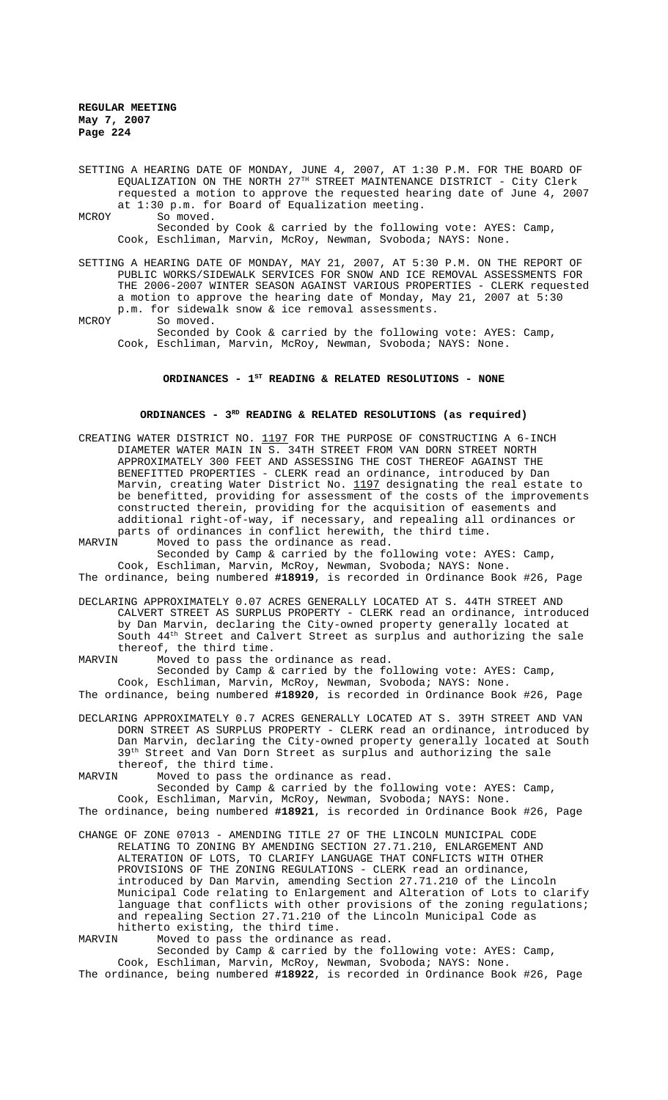SETTING A HEARING DATE OF MONDAY, JUNE 4, 2007, AT 1:30 P.M. FOR THE BOARD OF EQUALIZATION ON THE NORTH  $27^{\text{\tiny{TH}}}$  STREET MAINTENANCE DISTRICT - City Clerk requested a motion to approve the requested hearing date of June 4, 2007 at 1:30 p.m. for Board of Equalization meeting. MCROY So moved.

Seconded by Cook & carried by the following vote: AYES: Camp, Cook, Eschliman, Marvin, McRoy, Newman, Svoboda; NAYS: None.

SETTING A HEARING DATE OF MONDAY, MAY 21, 2007, AT 5:30 P.M. ON THE REPORT OF PUBLIC WORKS/SIDEWALK SERVICES FOR SNOW AND ICE REMOVAL ASSESSMENTS FOR THE 2006-2007 WINTER SEASON AGAINST VARIOUS PROPERTIES - CLERK requested a motion to approve the hearing date of Monday, May 21, 2007 at 5:30 p.m. for sidewalk snow & ice removal assessments.

MCROY So moved.

Seconded by Cook & carried by the following vote: AYES: Camp, Cook, Eschliman, Marvin, McRoy, Newman, Svoboda; NAYS: None.

# ORDINANCES - 1<sup>st</sup> READING & RELATED RESOLUTIONS - NONE

# **ORDINANCES - 3RD READING & RELATED RESOLUTIONS (as required)**

CREATING WATER DISTRICT NO.  $1197$  FOR THE PURPOSE OF CONSTRUCTING A 6-INCH DIAMETER WATER MAIN IN S. 34TH STREET FROM VAN DORN STREET NORTH APPROXIMATELY 300 FEET AND ASSESSING THE COST THEREOF AGAINST THE BENEFITTED PROPERTIES - CLERK read an ordinance, introduced by Dan Marvin, creating Water District No. 1197 designating the real estate to be benefitted, providing for assessment of the costs of the improvements constructed therein, providing for the acquisition of easements and additional right-of-way, if necessary, and repealing all ordinances or parts of ordinances in conflict herewith, the third time.<br>MARVIN Moved to pass the ordinance as read.

Moved to pass the ordinance as read.

Seconded by Camp & carried by the following vote: AYES: Camp, Cook, Eschliman, Marvin, McRoy, Newman, Svoboda; NAYS: None. The ordinance, being numbered **#18919**, is recorded in Ordinance Book #26, Page

DECLARING APPROXIMATELY 0.07 ACRES GENERALLY LOCATED AT S. 44TH STREET AND CALVERT STREET AS SURPLUS PROPERTY - CLERK read an ordinance, introduced by Dan Marvin, declaring the City-owned property generally located at South 44th Street and Calvert Street as surplus and authorizing the sale thereof, the third time.<br>MARVIN Moved to pass the

Moved to pass the ordinance as read.

Seconded by Camp & carried by the following vote: AYES: Camp, Cook, Eschliman, Marvin, McRoy, Newman, Svoboda; NAYS: None. The ordinance, being numbered **#18920**, is recorded in Ordinance Book #26, Page

DECLARING APPROXIMATELY 0.7 ACRES GENERALLY LOCATED AT S. 39TH STREET AND VAN DORN STREET AS SURPLUS PROPERTY - CLERK read an ordinance, introduced by Dan Marvin, declaring the City-owned property generally located at South 39<sup>th</sup> Street and Van Dorn Street as surplus and authorizing the sale thereof, the third time.

MARVIN Moved to pass the ordinance as read.

Seconded by Camp & carried by the following vote: AYES: Camp, Cook, Eschliman, Marvin, McRoy, Newman, Svoboda; NAYS: None.

The ordinance, being numbered **#18921**, is recorded in Ordinance Book #26, Page

CHANGE OF ZONE 07013 - AMENDING TITLE 27 OF THE LINCOLN MUNICIPAL CODE RELATING TO ZONING BY AMENDING SECTION 27.71.210, ENLARGEMENT AND ALTERATION OF LOTS, TO CLARIFY LANGUAGE THAT CONFLICTS WITH OTHER PROVISIONS OF THE ZONING REGULATIONS - CLERK read an ordinance, introduced by Dan Marvin, amending Section 27.71.210 of the Lincoln Municipal Code relating to Enlargement and Alteration of Lots to clarify language that conflicts with other provisions of the zoning regulations; and repealing Section 27.71.210 of the Lincoln Municipal Code as hitherto existing, the third time.<br>MARVIN Moved to pass the ordinance

Moved to pass the ordinance as read.

Seconded by Camp & carried by the following vote: AYES: Camp, Cook, Eschliman, Marvin, McRoy, Newman, Svoboda; NAYS: None.

The ordinance, being numbered **#18922**, is recorded in Ordinance Book #26, Page